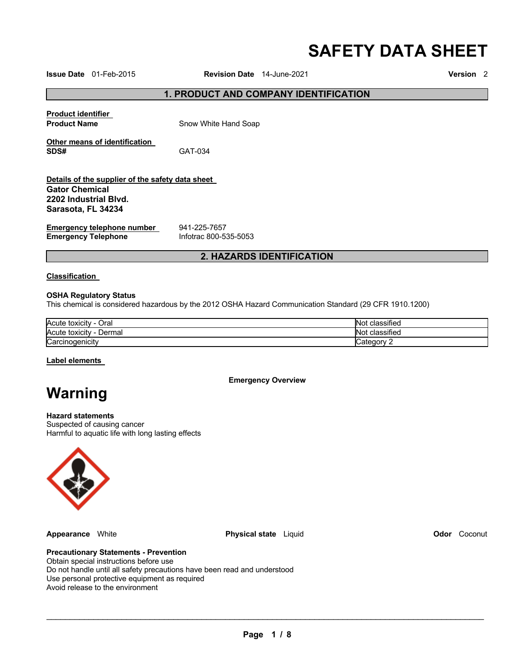# **SAFETY DATA SHEET**

**Issue Date** 01-Feb-2015 **Revision Date** 14-June-2021 **Version** 2

# **1. PRODUCT AND COMPANY IDENTIFICATION**

**Product identifier** 

**Product Name Snow White Hand Soap** 

**Other means of identification SDS#** GAT-034

#### **Details of the supplier of the safety data sheet Gator Chemical 2202 Industrial Blvd. Sarasota, FL 34234**

**Emergency telephone number <br>
<b>Emergency Telephone** 
<br>
Infotrac 800-535-5053 **Emergency Telephone** 

# **2. HAZARDS IDENTIFICATION**

#### **Classification**

#### **OSHA Regulatory Status**

This chemical is considered hazardous by the 2012 OSHA Hazard Communication Standard (29 CFR 1910.1200)

| Acute toxicity<br>Oral<br>- | $\cdots$<br>classified<br><b>NO</b>          |
|-----------------------------|----------------------------------------------|
| Acute toxicity<br>Dermal    | $\overline{\phantom{a}}$<br>classified<br>NΟ |
| Carcinogenicity             |                                              |

#### **Label elements**

**Emergency Overview** 

# **Warning**

# **Hazard statements**

Suspected of causing cancer Harmful to aquatic life with long lasting effects



**Appearance** White **Physical state** Liquid **Odor** Coconut

#### **Precautionary Statements - Prevention**

Obtain special instructions before use Do not handle until all safety precautions have been read and understood Use personal protective equipment as required Avoid release to the environment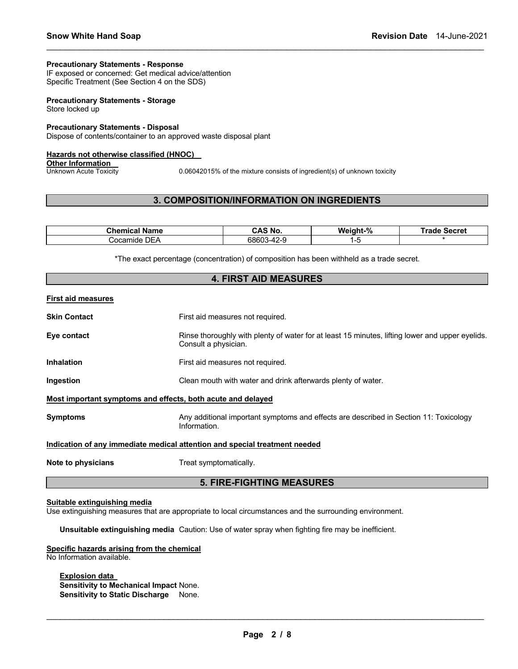#### **Precautionary Statements - Response**

IF exposed or concerned: Get medical advice/attention Specific Treatment (See Section 4 on the SDS)

#### **Precautionary Statements - Storage** Store locked up

**Precautionary Statements - Disposal**

Dispose of contents/container to an approved waste disposal plant

#### **Hazards not otherwise classified (HNOC)**

**Other Information**<br>Unknown Acute Toxicity

0.06042015% of the mixture consists of ingredient(s) of unknown toxicity

# **3. COMPOSITION/INFORMATION ON INGREDIENTS**

\_\_\_\_\_\_\_\_\_\_\_\_\_\_\_\_\_\_\_\_\_\_\_\_\_\_\_\_\_\_\_\_\_\_\_\_\_\_\_\_\_\_\_\_\_\_\_\_\_\_\_\_\_\_\_\_\_\_\_\_\_\_\_\_\_\_\_\_\_\_\_\_\_\_\_\_\_\_\_\_\_\_\_\_\_\_\_\_\_\_\_\_\_

| Chemical        | CAS                                                        | Weight-% | ⊺rade  |
|-----------------|------------------------------------------------------------|----------|--------|
| <b>Name</b>     | ` No.                                                      |          | Secret |
| DEA<br>Cocamide | 68603<br>$\overline{\phantom{a}}$<br>ンー<br>ັບ<br>᠇᠘<br>. . |          |        |

\*The exact percentage (concentration) of composition has been withheld as a trade secret.

| <b>4. FIRST AID MEASURES</b>                                                      |                                                                                                                         |  |  |
|-----------------------------------------------------------------------------------|-------------------------------------------------------------------------------------------------------------------------|--|--|
| First aid measures                                                                |                                                                                                                         |  |  |
| Skin Contact                                                                      | First aid measures not required.                                                                                        |  |  |
| Eye contact                                                                       | Rinse thoroughly with plenty of water for at least 15 minutes, lifting lower and upper eyelids.<br>Consult a physician. |  |  |
| Inhalation                                                                        | First aid measures not required.                                                                                        |  |  |
| Ingestion                                                                         | Clean mouth with water and drink afterwards plenty of water.                                                            |  |  |
| Most important symptoms and effects, both acute and delayed                       |                                                                                                                         |  |  |
| Svmptoms                                                                          | Any additional important symptoms and effects are described in Section 11: Toxicology<br>Information.                   |  |  |
| <u>Indication of any immediate medical attention and special treatment needed</u> |                                                                                                                         |  |  |
| Note to physicians                                                                | Treat symptomatically.                                                                                                  |  |  |
| <b>5. FIRE-FIGHTING MEASURES</b>                                                  |                                                                                                                         |  |  |

#### **Suitable extinguishing media**

Use extinguishing measures that are appropriate to local circumstances and the surrounding environment.

**Unsuitable extinguishing media** Caution: Use of water spray when fighting fire may be inefficient.

#### **Specific hazards arising from the chemical** No Information available.

# **Explosion data**

**Sensitivity to Mechanical Impact** None. **Sensitivity to Static Discharge** None.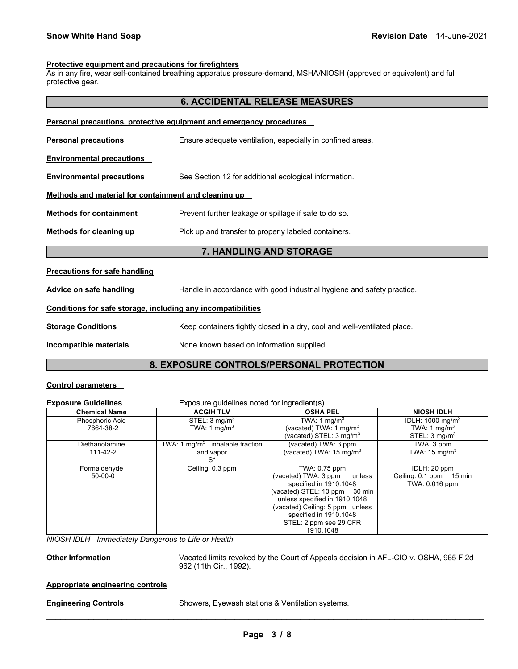#### **Protective equipment and precautions for firefighters**

As in any fire, wear self-contained breathing apparatus pressure-demand, MSHA/NIOSH (approved or equivalent) and full protective gear.

\_\_\_\_\_\_\_\_\_\_\_\_\_\_\_\_\_\_\_\_\_\_\_\_\_\_\_\_\_\_\_\_\_\_\_\_\_\_\_\_\_\_\_\_\_\_\_\_\_\_\_\_\_\_\_\_\_\_\_\_\_\_\_\_\_\_\_\_\_\_\_\_\_\_\_\_\_\_\_\_\_\_\_\_\_\_\_\_\_\_\_\_\_

|                                                              | <b>6. ACCIDENTAL RELEASE MEASURES</b>                                    |  |
|--------------------------------------------------------------|--------------------------------------------------------------------------|--|
|                                                              | Personal precautions, protective equipment and emergency procedures      |  |
| <b>Personal precautions</b>                                  | Ensure adequate ventilation, especially in confined areas.               |  |
| <b>Environmental precautions</b>                             |                                                                          |  |
| <b>Environmental precautions</b>                             | See Section 12 for additional ecological information.                    |  |
| Methods and material for containment and cleaning up         |                                                                          |  |
| <b>Methods for containment</b>                               | Prevent further leakage or spillage if safe to do so.                    |  |
| Methods for cleaning up                                      | Pick up and transfer to properly labeled containers.                     |  |
|                                                              | 7. HANDLING AND STORAGE                                                  |  |
| <b>Precautions for safe handling</b>                         |                                                                          |  |
| Advice on safe handling                                      | Handle in accordance with good industrial hygiene and safety practice.   |  |
| Conditions for safe storage, including any incompatibilities |                                                                          |  |
| <b>Storage Conditions</b>                                    | Keep containers tightly closed in a dry, cool and well-ventilated place. |  |
| Incompatible materials                                       | None known based on information supplied.                                |  |
|                                                              |                                                                          |  |

# **8. EXPOSURE CONTROLS/PERSONAL PROTECTION**

# **Control parameters**

| <b>Exposure Guidelines</b>   | Exposure quidelines noted for ingredient(s).                   |                                                                                                                                                                                                                                                 |                                                                                     |  |
|------------------------------|----------------------------------------------------------------|-------------------------------------------------------------------------------------------------------------------------------------------------------------------------------------------------------------------------------------------------|-------------------------------------------------------------------------------------|--|
| <b>Chemical Name</b>         | <b>ACGIH TLV</b><br><b>OSHA PEL</b>                            |                                                                                                                                                                                                                                                 | <b>NIOSH IDLH</b>                                                                   |  |
| Phosphoric Acid<br>7664-38-2 | STEL: 3 mg/m <sup>3</sup><br>TWA: 1 mg/m <sup>3</sup>          | TWA: 1 mg/m $3$<br>(vacated) TWA: 1 mg/m $3$<br>(vacated) STEL: 3 mg/m $^3$                                                                                                                                                                     | IDLH: $1000 \text{ mg/m}^3$<br>TWA: 1 mg/m <sup>3</sup><br>STEL: $3 \text{ mq/m}^3$ |  |
| Diethanolamine<br>111-42-2   | TWA: 1 mg/m <sup>3</sup> inhalable fraction<br>and vapor<br>`S | (vacated) TWA: 3 ppm<br>(vacated) TWA: $15 \text{ mg/m}^3$                                                                                                                                                                                      | TWA: 3 ppm<br>TWA: $15 \text{ mg/m}^3$                                              |  |
| Formaldehyde<br>$50-00-0$    | Ceiling: 0.3 ppm                                               | TWA: 0.75 ppm<br>(vacated) TWA: 3 ppm<br>unless<br>specified in 1910.1048<br>(vacated) STEL: 10 ppm 30 min<br>unless specified in 1910.1048<br>(vacated) Ceiling: 5 ppm unless<br>specified in 1910.1048<br>STEL: 2 ppm see 29 CFR<br>1910.1048 | IDLH: 20 ppm<br>Ceiling: 0.1 ppm 15 min<br>TWA: 0.016 ppm                           |  |

*NIOSH IDLH Immediately Dangerous to Life or Health* 

**Other Information** Vacated limits revoked by the Court of Appeals decision in AFL-CIO v. OSHA, 965 F.2d 962 (11th Cir., 1992).

#### **Appropriate engineering controls**

\_\_\_\_\_\_\_\_\_\_\_\_\_\_\_\_\_\_\_\_\_\_\_\_\_\_\_\_\_\_\_\_\_\_\_\_\_\_\_\_\_\_\_\_\_\_\_\_\_\_\_\_\_\_\_\_\_\_\_\_\_\_\_\_\_\_\_\_\_\_\_\_\_\_\_\_\_\_\_\_\_\_\_\_\_\_\_\_\_\_\_\_\_ **Engineering Controls** Showers, Eyewash stations & Ventilation systems.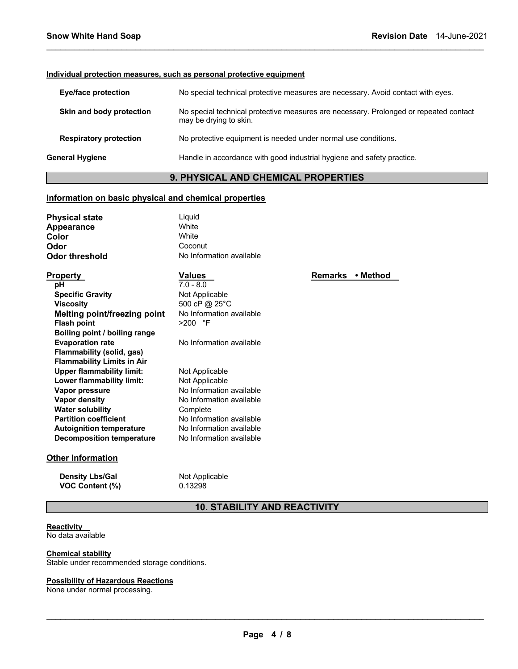#### **Individual protection measures, such as personal protective equipment**

| <b>Eye/face protection</b>    | No special technical protective measures are necessary. Avoid contact with eyes.                                |
|-------------------------------|-----------------------------------------------------------------------------------------------------------------|
| Skin and body protection      | No special technical protective measures are necessary. Prolonged or repeated contact<br>may be drying to skin. |
| <b>Respiratory protection</b> | No protective equipment is needed under normal use conditions.                                                  |
| General Hygiene               | Handle in accordance with good industrial hygiene and safety practice.                                          |
|                               |                                                                                                                 |

\_\_\_\_\_\_\_\_\_\_\_\_\_\_\_\_\_\_\_\_\_\_\_\_\_\_\_\_\_\_\_\_\_\_\_\_\_\_\_\_\_\_\_\_\_\_\_\_\_\_\_\_\_\_\_\_\_\_\_\_\_\_\_\_\_\_\_\_\_\_\_\_\_\_\_\_\_\_\_\_\_\_\_\_\_\_\_\_\_\_\_\_\_

# **9. PHYSICAL AND CHEMICAL PROPERTIES**

### **Information on basic physical and chemical properties**

| <b>Physical state</b> | Liguid                   |
|-----------------------|--------------------------|
| Appearance            | <b>White</b>             |
| Color                 | White                    |
| Odor                  | Coconut                  |
| Odor threshold        | No Information available |

| <b>Property</b>                   | <b>Values</b>            | <b>Remarks</b> | • Method |
|-----------------------------------|--------------------------|----------------|----------|
| рH                                | $7.0 - 8.0$              |                |          |
| <b>Specific Gravity</b>           | Not Applicable           |                |          |
| <b>Viscosity</b>                  | 500 cP @ 25°C            |                |          |
| Melting point/freezing point      | No Information available |                |          |
| <b>Flash point</b>                | $>200$ °F                |                |          |
| Boiling point / boiling range     |                          |                |          |
| <b>Evaporation rate</b>           | No Information available |                |          |
| Flammability (solid, gas)         |                          |                |          |
| <b>Flammability Limits in Air</b> |                          |                |          |
| <b>Upper flammability limit:</b>  | Not Applicable           |                |          |
| Lower flammability limit:         | Not Applicable           |                |          |
| Vapor pressure                    | No Information available |                |          |
| Vapor density                     | No Information available |                |          |
| <b>Water solubility</b>           | Complete                 |                |          |
| <b>Partition coefficient</b>      | No Information available |                |          |
| <b>Autoignition temperature</b>   | No Information available |                |          |
| <b>Decomposition temperature</b>  | No Information available |                |          |

# **Other Information**

**Density Lbs/Gal** Not Applicable **VOC Content (%)** 0.13298

# **10. STABILITY AND REACTIVITY**

#### **Reactivity**  No data available

**Chemical stability** Stable under recommended storage conditions.

# **Possibility of Hazardous Reactions**

None under normal processing.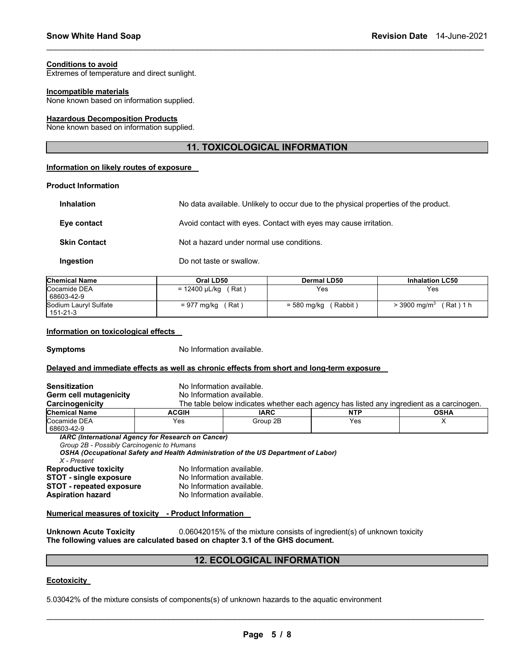#### **Conditions to avoid**

Extremes of temperature and direct sunlight.

#### **Incompatible materials**

None known based on information supplied.

#### **Hazardous Decomposition Products**

None known based on information supplied.

# **11. TOXICOLOGICAL INFORMATION**

\_\_\_\_\_\_\_\_\_\_\_\_\_\_\_\_\_\_\_\_\_\_\_\_\_\_\_\_\_\_\_\_\_\_\_\_\_\_\_\_\_\_\_\_\_\_\_\_\_\_\_\_\_\_\_\_\_\_\_\_\_\_\_\_\_\_\_\_\_\_\_\_\_\_\_\_\_\_\_\_\_\_\_\_\_\_\_\_\_\_\_\_\_

#### **Information on likely routes of exposure**

#### **Product Information**

| <b>Inhalation</b>   | No data available. Unlikely to occur due to the physical properties of the product. |
|---------------------|-------------------------------------------------------------------------------------|
| Eye contact         | Avoid contact with eyes. Contact with eyes may cause irritation.                    |
| <b>Skin Contact</b> | Not a hazard under normal use conditions.                                           |
| Ingestion           | Do not taste or swallow.                                                            |

| <b>Chemical Name</b>              | Oral LD50              | Dermal LD50           | <b>Inhalation LC50</b>                |
|-----------------------------------|------------------------|-----------------------|---------------------------------------|
| Cocamide DEA<br>68603-42-9        | (Rat)<br>= 12400 µL/kg | Yes                   | Yes                                   |
| Sodium Lauryl Sulfate<br>151-21-3 | ˈRat ˈ<br>= 977 mg/kg  | Rabbit<br>= 580 mg/kg | (Rat)1h<br>$>$ 3900 mg/m <sup>3</sup> |

#### **Information on toxicological effects**

**Symptoms** No Information available.

#### **Delayed and immediate effects as well as chronic effects from short and long-term exposure**

| <b>Sensitization</b>                                                                                                   | No Information available. |                                                                                          |            |             |
|------------------------------------------------------------------------------------------------------------------------|---------------------------|------------------------------------------------------------------------------------------|------------|-------------|
| Germ cell mutagenicity                                                                                                 | No Information available. |                                                                                          |            |             |
| Carcinogenicity                                                                                                        |                           | The table below indicates whether each agency has listed any ingredient as a carcinogen. |            |             |
| <b>Chemical Name</b>                                                                                                   | <b>ACGIH</b>              | <b>IARC</b>                                                                              | <b>NTP</b> | <b>OSHA</b> |
| Cocamide DEA<br>68603-42-9                                                                                             | Yes                       | Group 2B                                                                                 | Yes        | x           |
| <b>IARC (International Agency for Research on Cancer)</b><br>Group 2B - Possibly Carcinogenic to Humans<br>X - Present |                           | OSHA (Occupational Safety and Health Administration of the US Department of Labor)       |            |             |
| <b>Reproductive toxicity</b>                                                                                           | No Information available. |                                                                                          |            |             |
| <b>STOT - single exposure</b>                                                                                          | No Information available. |                                                                                          |            |             |
| <b>STOT - repeated exposure</b>                                                                                        | No Information available. |                                                                                          |            |             |
| <b>Aspiration hazard</b>                                                                                               | No Information available. |                                                                                          |            |             |
|                                                                                                                        |                           |                                                                                          |            |             |

#### **Numerical measures of toxicity - Product Information**

**Unknown Acute Toxicity** 0.06042015% of the mixture consists of ingredient(s) of unknown toxicity **The following values are calculated based on chapter 3.1 of the GHS document.**

# **12. ECOLOGICAL INFORMATION**

#### **Ecotoxicity**

5.03042% of the mixture consists of components(s) of unknown hazards to the aquatic environment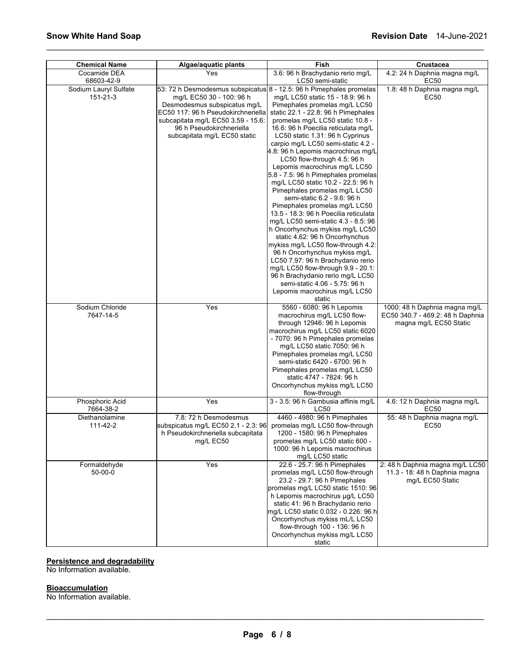| <b>Chemical Name</b>              | Algae/aquatic plants                                                                                                                                                                                                                                                    | Fish                                                                                                                                                                                                                                                                                                                                                                                                                                                                                                                                                                                                                                                                                                                                                                                                                                                                                                                                                                       | Crustacea                                                                                   |
|-----------------------------------|-------------------------------------------------------------------------------------------------------------------------------------------------------------------------------------------------------------------------------------------------------------------------|----------------------------------------------------------------------------------------------------------------------------------------------------------------------------------------------------------------------------------------------------------------------------------------------------------------------------------------------------------------------------------------------------------------------------------------------------------------------------------------------------------------------------------------------------------------------------------------------------------------------------------------------------------------------------------------------------------------------------------------------------------------------------------------------------------------------------------------------------------------------------------------------------------------------------------------------------------------------------|---------------------------------------------------------------------------------------------|
| Cocamide DEA<br>68603-42-9        | Yes                                                                                                                                                                                                                                                                     | 3.6: 96 h Brachydanio rerio mg/L<br>LC50 semi-static                                                                                                                                                                                                                                                                                                                                                                                                                                                                                                                                                                                                                                                                                                                                                                                                                                                                                                                       | 4.2: 24 h Daphnia magna mg/L<br>EC50                                                        |
| Sodium Lauryl Sulfate<br>151-21-3 | 53: 72 h Desmodesmus subspicatus 8 - 12.5: 96 h Pimephales promelas<br>mg/L EC50 30 - 100: 96 h<br>Desmodesmus subspicatus mg/L<br>EC50 117: 96 h Pseudokirchneriella<br>subcapitata mg/L EC50 3.59 - 15.6:<br>96 h Pseudokirchneriella<br>subcapitata mg/L EC50 static | mg/L LC50 static 15 - 18.9: 96 h<br>Pimephales promelas mg/L LC50<br>static 22.1 - 22.8: 96 h Pimephales<br>promelas mg/L LC50 static 10.8 -<br>16.6: 96 h Poecilia reticulata mg/L<br>LC50 static 1.31: 96 h Cyprinus<br>carpio mg/L LC50 semi-static 4.2 -<br>4.8: 96 h Lepomis macrochirus mg/L<br>LC50 flow-through 4.5: 96 h<br>Lepomis macrochirus mg/L LC50<br>5.8 - 7.5: 96 h Pimephales promelas<br>mg/L LC50 static 10.2 - 22.5: 96 h<br>Pimephales promelas mg/L LC50<br>semi-static 6.2 - 9.6: 96 h<br>Pimephales promelas mg/L LC50<br>13.5 - 18.3: 96 h Poecilia reticulata<br>mg/L LC50 semi-static 4.3 - 8.5: 96<br>h Oncorhynchus mykiss mg/L LC50<br>static 4.62: 96 h Oncorhynchus<br>mykiss mg/L LC50 flow-through 4.2:<br>96 h Oncorhynchus mykiss mg/L<br>LC50 7.97: 96 h Brachydanio rerio<br>mg/L LC50 flow-through $9.9 - 20.1$ :<br>96 h Brachydanio rerio mg/L LC50<br>semi-static 4.06 - 5.75: 96 h<br>Lepomis macrochirus mg/L LC50<br>static | 1.8: 48 h Daphnia magna mg/L<br>EC50                                                        |
| Sodium Chloride<br>7647-14-5      | Yes                                                                                                                                                                                                                                                                     | 5560 - 6080: 96 h Lepomis<br>macrochirus mg/L LC50 flow-<br>through 12946: 96 h Lepomis<br>macrochirus mg/L LC50 static 6020<br>- 7070: 96 h Pimephales promelas<br>mg/L LC50 static 7050: 96 h<br>Pimephales promelas mg/L LC50<br>semi-static 6420 - 6700: 96 h<br>Pimephales promelas mg/L LC50<br>static 4747 - 7824: 96 h<br>Oncorhynchus mykiss mg/L LC50<br>flow-through                                                                                                                                                                                                                                                                                                                                                                                                                                                                                                                                                                                            | 1000: 48 h Daphnia magna mg/L<br>EC50 340.7 - 469.2: 48 h Daphnia<br>magna mg/L EC50 Static |
| Phosphoric Acid<br>7664-38-2      | Yes                                                                                                                                                                                                                                                                     | 3 - 3.5: 96 h Gambusia affinis mg/L<br>LC50                                                                                                                                                                                                                                                                                                                                                                                                                                                                                                                                                                                                                                                                                                                                                                                                                                                                                                                                | 4.6: 12 h Daphnia magna mg/L<br>EC50                                                        |
| Diethanolamine<br>111-42-2        | 7.8: 72 h Desmodesmus<br>subspicatus mg/L EC50 2.1 - 2.3: 96<br>h Pseudokirchneriella subcapitata<br>mg/L EC50                                                                                                                                                          | 4460 - 4980: 96 h Pimephales<br>promelas mg/L LC50 flow-through<br>1200 - 1580: 96 h Pimephales<br>promelas mg/L LC50 static 600 -<br>1000: 96 h Lepomis macrochirus<br>mg/L LC50 static                                                                                                                                                                                                                                                                                                                                                                                                                                                                                                                                                                                                                                                                                                                                                                                   | 55: 48 h Daphnia magna mg/L<br>EC50                                                         |
| Formaldehyde<br>$50 - 00 - 0$     | Yes                                                                                                                                                                                                                                                                     | 22.6 - 25.7: 96 h Pimephales<br>promelas mg/L LC50 flow-through<br>23.2 - 29.7: 96 h Pimephales<br>promelas mg/L LC50 static 1510: 96<br>h Lepomis macrochirus µg/L LC50<br>static 41: 96 h Brachydanio rerio<br>mg/L LC50 static 0.032 - 0.226: 96 h<br>Oncorhynchus mykiss mL/L LC50<br>flow-through 100 - 136: 96 h<br>Oncorhynchus mykiss mg/L LC50<br>static                                                                                                                                                                                                                                                                                                                                                                                                                                                                                                                                                                                                          | 2: 48 h Daphnia magna mg/L LC50<br>11.3 - 18: 48 h Daphnia magna<br>mg/L EC50 Static        |

\_\_\_\_\_\_\_\_\_\_\_\_\_\_\_\_\_\_\_\_\_\_\_\_\_\_\_\_\_\_\_\_\_\_\_\_\_\_\_\_\_\_\_\_\_\_\_\_\_\_\_\_\_\_\_\_\_\_\_\_\_\_\_\_\_\_\_\_\_\_\_\_\_\_\_\_\_\_\_\_\_\_\_\_\_\_\_\_\_\_\_\_\_

# **Persistence and degradability**

No Information available.

# **Bioaccumulation**

No Information available.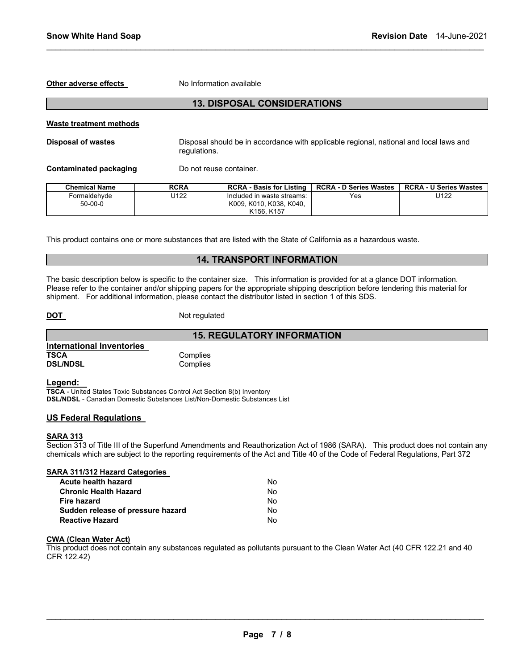**Other adverse effects** No Information available

# **13. DISPOSAL CONSIDERATIONS**

\_\_\_\_\_\_\_\_\_\_\_\_\_\_\_\_\_\_\_\_\_\_\_\_\_\_\_\_\_\_\_\_\_\_\_\_\_\_\_\_\_\_\_\_\_\_\_\_\_\_\_\_\_\_\_\_\_\_\_\_\_\_\_\_\_\_\_\_\_\_\_\_\_\_\_\_\_\_\_\_\_\_\_\_\_\_\_\_\_\_\_\_\_

#### **Waste treatment methods**

**Disposal of wastes** Disposal should be in accordance with applicable regional, national and local laws and regulations.

**Contaminated packaging Theory Do not reuse container.** 

| Chemical Name | <b>RCRA</b> | <b>RCRA - Basis for Listing</b>   | <b>RCRA - D Series Wastes</b> | <b>RCRA - U Series Wastes</b> |
|---------------|-------------|-----------------------------------|-------------------------------|-------------------------------|
| Formaldehvde  | J122        | Included in waste streams:        | Yes                           | U122                          |
| $50-00-0$     |             | K009, K010, K038, K040,           |                               |                               |
|               |             | K <sub>156</sub> K <sub>157</sub> |                               |                               |

This product contains one or more substances that are listed with the State of California as a hazardous waste.

# **14. TRANSPORT INFORMATION**

**15. REGULATORY INFORMATION** 

The basic description below is specific to the container size. This information is provided for at a glance DOT information. Please refer to the container and/or shipping papers for the appropriate shipping description before tendering this material for shipment. For additional information, please contact the distributor listed in section 1 of this SDS.

**DOT** Not regulated

|                           | 15. F    |
|---------------------------|----------|
| International Inventories |          |
| <b>TSCA</b>               | Complies |
| <b>DSL/NDSL</b>           | Complies |

**Legend:** 

**TSCA** - United States Toxic Substances Control Act Section 8(b) Inventory **DSL/NDSL** - Canadian Domestic Substances List/Non-Domestic Substances List

# **US Federal Regulations**

#### **SARA 313**

Section 313 of Title III of the Superfund Amendments and Reauthorization Act of 1986 (SARA). This product does not contain any chemicals which are subject to the reporting requirements of the Act and Title 40 of the Code of Federal Regulations, Part 372

| SARA 311/312 Hazard Categories    |    |
|-----------------------------------|----|
| Acute health hazard               | N٥ |
| <b>Chronic Health Hazard</b>      | Nο |
| <b>Fire hazard</b>                | Nο |
| Sudden release of pressure hazard | Nο |
| <b>Reactive Hazard</b>            | N٥ |

# **CWA (Clean Water Act)**

This product does not contain any substances regulated as pollutants pursuant to the Clean Water Act (40 CFR 122.21 and 40 CFR 122.42)